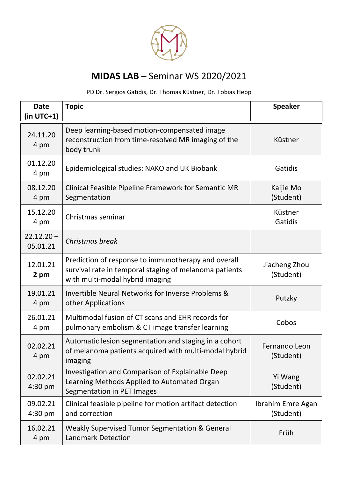

## **MIDAS LAB** – Seminar WS 2020/2021

PD Dr. Sergios Gatidis, Dr. Thomas Küstner, Dr. Tobias Hepp

| <b>Date</b><br>$(in UTC+1)$ | <b>Topic</b>                                                                                                                                     | <b>Speaker</b>                 |
|-----------------------------|--------------------------------------------------------------------------------------------------------------------------------------------------|--------------------------------|
| 24.11.20<br>4 pm            | Deep learning-based motion-compensated image<br>reconstruction from time-resolved MR imaging of the<br>body trunk                                | Küstner                        |
| 01.12.20<br>4 pm            | Epidemiological studies: NAKO and UK Biobank                                                                                                     | Gatidis                        |
| 08.12.20<br>4 pm            | Clinical Feasible Pipeline Framework for Semantic MR<br>Segmentation                                                                             | Kaijie Mo<br>(Student)         |
| 15.12.20<br>4 pm            | Christmas seminar                                                                                                                                | Küstner<br>Gatidis             |
| $22.12.20 -$<br>05.01.21    | Christmas break                                                                                                                                  |                                |
| 12.01.21<br>2 pm            | Prediction of response to immunotherapy and overall<br>survival rate in temporal staging of melanoma patients<br>with multi-modal hybrid imaging | Jiacheng Zhou<br>(Student)     |
| 19.01.21<br>4 pm            | Invertible Neural Networks for Inverse Problems &<br>other Applications                                                                          | Putzky                         |
| 26.01.21<br>4 pm            | Multimodal fusion of CT scans and EHR records for<br>pulmonary embolism & CT image transfer learning                                             | Cobos                          |
| 02.02.21<br>4 pm            | Automatic lesion segmentation and staging in a cohort<br>of melanoma patients acquired with multi-modal hybrid<br>imaging                        | Fernando Leon<br>(Student)     |
| 02.02.21<br>$4:30$ pm       | Investigation and Comparison of Explainable Deep<br>Learning Methods Applied to Automated Organ<br>Segmentation in PET Images                    | Yi Wang<br>(Student)           |
| 09.02.21<br>$4:30$ pm       | Clinical feasible pipeline for motion artifact detection<br>and correction                                                                       | Ibrahim Emre Agan<br>(Student) |
| 16.02.21<br>4 pm            | Weakly Supervised Tumor Segmentation & General<br><b>Landmark Detection</b>                                                                      | Früh                           |